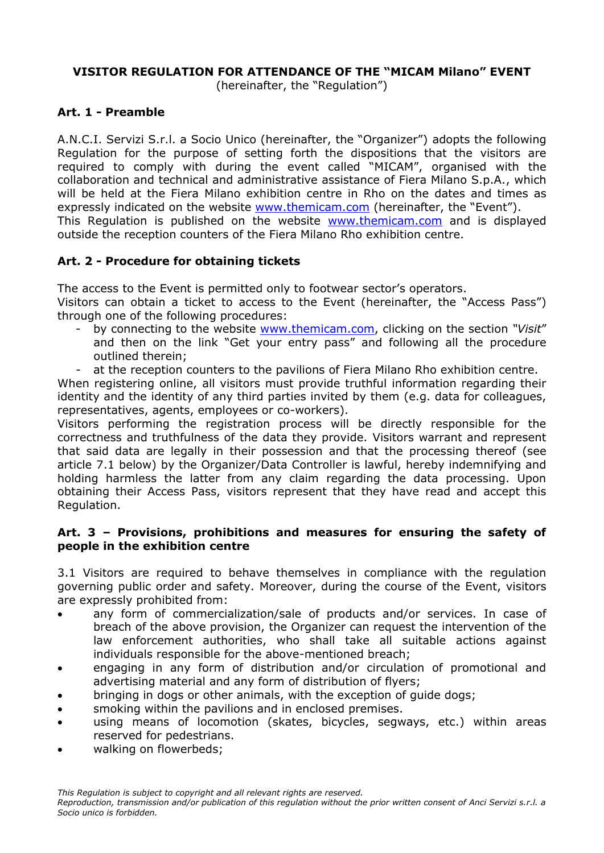## **VISITOR REGULATION FOR ATTENDANCE OF THE "MICAM Milano" EVENT**

(hereinafter, the "Regulation")

### **Art. 1 - Preamble**

A.N.C.I. Servizi S.r.l. a Socio Unico (hereinafter, the "Organizer") adopts the following Regulation for the purpose of setting forth the dispositions that the visitors are required to comply with during the event called "MICAM", organised with the collaboration and technical and administrative assistance of Fiera Milano S.p.A., which will be held at the Fiera Milano exhibition centre in Rho on the dates and times as expressly indicated on the website [www.themicam.com](http://www.themicam.com/) (hereinafter, the "Event"). This Regulation is published on the website [www.themicam.com](http://www.themicam.com/) and is displayed outside the reception counters of the Fiera Milano Rho exhibition centre.

# **Art. 2 - Procedure for obtaining tickets**

The access to the Event is permitted only to footwear sector's operators.

Visitors can obtain a ticket to access to the Event (hereinafter, the "Access Pass") through one of the following procedures:

- by connecting to the website [www.themicam.com,](http://www.themicam.com/) clicking on the section *"Visit*" and then on the link "Get your entry pass" and following all the procedure outlined therein;
- at the reception counters to the pavilions of Fiera Milano Rho exhibition centre.

When registering online, all visitors must provide truthful information regarding their identity and the identity of any third parties invited by them (e.g. data for colleagues, representatives, agents, employees or co-workers).

Visitors performing the registration process will be directly responsible for the correctness and truthfulness of the data they provide. Visitors warrant and represent that said data are legally in their possession and that the processing thereof (see article 7.1 below) by the Organizer/Data Controller is lawful, hereby indemnifying and holding harmless the latter from any claim regarding the data processing. Upon obtaining their Access Pass, visitors represent that they have read and accept this Regulation.

#### **Art. 3 – Provisions, prohibitions and measures for ensuring the safety of people in the exhibition centre**

3.1 Visitors are required to behave themselves in compliance with the regulation governing public order and safety. Moreover, during the course of the Event, visitors are expressly prohibited from:

- any form of commercialization/sale of products and/or services. In case of breach of the above provision, the Organizer can request the intervention of the law enforcement authorities, who shall take all suitable actions against individuals responsible for the above-mentioned breach;
- engaging in any form of distribution and/or circulation of promotional and advertising material and any form of distribution of flyers;
- bringing in dogs or other animals, with the exception of guide dogs;
- smoking within the pavilions and in enclosed premises.
- using means of locomotion (skates, bicycles, segways, etc.) within areas reserved for pedestrians.
- walking on flowerbeds;

*This Regulation is subject to copyright and all relevant rights are reserved.*

*Reproduction, transmission and/or publication of this regulation without the prior written consent of Anci Servizi s.r.l. a Socio unico is forbidden.*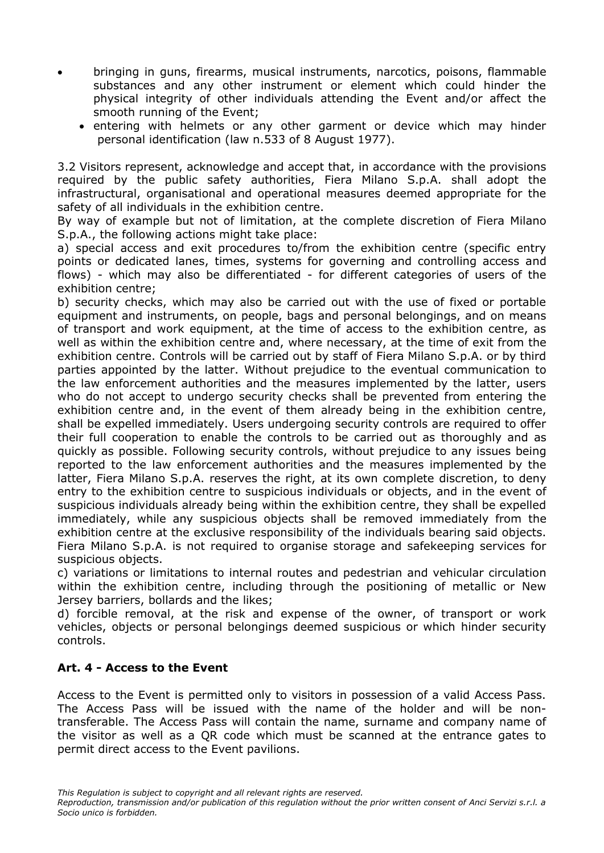- bringing in guns, firearms, musical instruments, narcotics, poisons, flammable substances and any other instrument or element which could hinder the physical integrity of other individuals attending the Event and/or affect the smooth running of the Event;
	- entering with helmets or any other garment or device which may hinder personal identification (law n.533 of 8 August 1977).

3.2 Visitors represent, acknowledge and accept that, in accordance with the provisions required by the public safety authorities, Fiera Milano S.p.A. shall adopt the infrastructural, organisational and operational measures deemed appropriate for the safety of all individuals in the exhibition centre.

By way of example but not of limitation, at the complete discretion of Fiera Milano S.p.A., the following actions might take place:

a) special access and exit procedures to/from the exhibition centre (specific entry points or dedicated lanes, times, systems for governing and controlling access and flows) - which may also be differentiated - for different categories of users of the exhibition centre;

b) security checks, which may also be carried out with the use of fixed or portable equipment and instruments, on people, bags and personal belongings, and on means of transport and work equipment, at the time of access to the exhibition centre, as well as within the exhibition centre and, where necessary, at the time of exit from the exhibition centre. Controls will be carried out by staff of Fiera Milano S.p.A. or by third parties appointed by the latter. Without prejudice to the eventual communication to the law enforcement authorities and the measures implemented by the latter, users who do not accept to undergo security checks shall be prevented from entering the exhibition centre and, in the event of them already being in the exhibition centre, shall be expelled immediately. Users undergoing security controls are required to offer their full cooperation to enable the controls to be carried out as thoroughly and as quickly as possible. Following security controls, without prejudice to any issues being reported to the law enforcement authorities and the measures implemented by the latter, Fiera Milano S.p.A. reserves the right, at its own complete discretion, to deny entry to the exhibition centre to suspicious individuals or objects, and in the event of suspicious individuals already being within the exhibition centre, they shall be expelled immediately, while any suspicious objects shall be removed immediately from the exhibition centre at the exclusive responsibility of the individuals bearing said objects. Fiera Milano S.p.A. is not required to organise storage and safekeeping services for suspicious objects.

c) variations or limitations to internal routes and pedestrian and vehicular circulation within the exhibition centre, including through the positioning of metallic or New Jersey barriers, bollards and the likes;

d) forcible removal, at the risk and expense of the owner, of transport or work vehicles, objects or personal belongings deemed suspicious or which hinder security controls.

#### **Art. 4 - Access to the Event**

Access to the Event is permitted only to visitors in possession of a valid Access Pass. The Access Pass will be issued with the name of the holder and will be nontransferable. The Access Pass will contain the name, surname and company name of the visitor as well as a QR code which must be scanned at the entrance gates to permit direct access to the Event pavilions.

*This Regulation is subject to copyright and all relevant rights are reserved.*

*Reproduction, transmission and/or publication of this regulation without the prior written consent of Anci Servizi s.r.l. a Socio unico is forbidden.*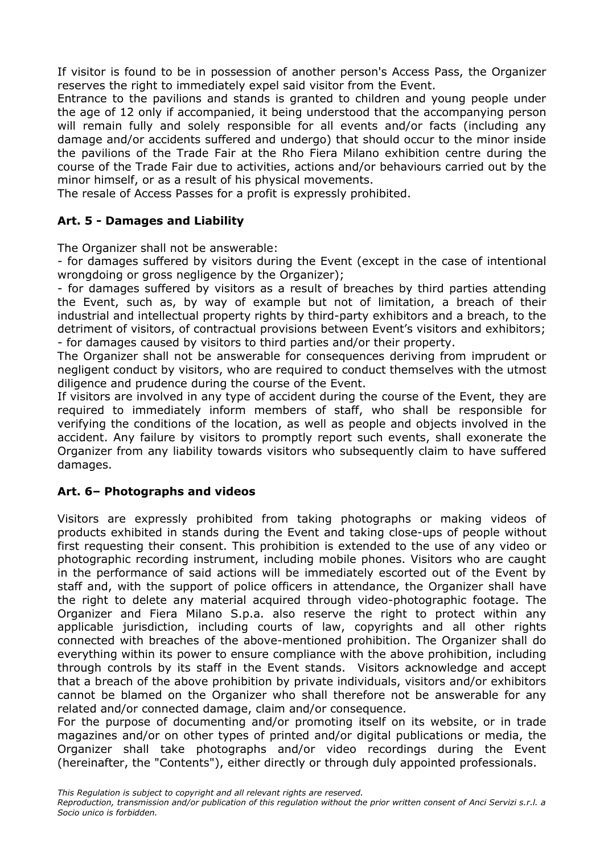If visitor is found to be in possession of another person's Access Pass, the Organizer reserves the right to immediately expel said visitor from the Event.

Entrance to the pavilions and stands is granted to children and young people under the age of 12 only if accompanied, it being understood that the accompanying person will remain fully and solely responsible for all events and/or facts (including any damage and/or accidents suffered and undergo) that should occur to the minor inside the pavilions of the Trade Fair at the Rho Fiera Milano exhibition centre during the course of the Trade Fair due to activities, actions and/or behaviours carried out by the minor himself, or as a result of his physical movements.

The resale of Access Passes for a profit is expressly prohibited.

## **Art. 5 - Damages and Liability**

The Organizer shall not be answerable:

- for damages suffered by visitors during the Event (except in the case of intentional wrongdoing or gross negligence by the Organizer);

- for damages suffered by visitors as a result of breaches by third parties attending the Event, such as, by way of example but not of limitation, a breach of their industrial and intellectual property rights by third-party exhibitors and a breach, to the detriment of visitors, of contractual provisions between Event's visitors and exhibitors; - for damages caused by visitors to third parties and/or their property.

The Organizer shall not be answerable for consequences deriving from imprudent or negligent conduct by visitors, who are required to conduct themselves with the utmost diligence and prudence during the course of the Event.

If visitors are involved in any type of accident during the course of the Event, they are required to immediately inform members of staff, who shall be responsible for verifying the conditions of the location, as well as people and objects involved in the accident. Any failure by visitors to promptly report such events, shall exonerate the Organizer from any liability towards visitors who subsequently claim to have suffered damages.

# **Art. 6– Photographs and videos**

Visitors are expressly prohibited from taking photographs or making videos of products exhibited in stands during the Event and taking close-ups of people without first requesting their consent. This prohibition is extended to the use of any video or photographic recording instrument, including mobile phones. Visitors who are caught in the performance of said actions will be immediately escorted out of the Event by staff and, with the support of police officers in attendance, the Organizer shall have the right to delete any material acquired through video-photographic footage. The Organizer and Fiera Milano S.p.a. also reserve the right to protect within any applicable jurisdiction, including courts of law, copyrights and all other rights connected with breaches of the above-mentioned prohibition. The Organizer shall do everything within its power to ensure compliance with the above prohibition, including through controls by its staff in the Event stands. Visitors acknowledge and accept that a breach of the above prohibition by private individuals, visitors and/or exhibitors cannot be blamed on the Organizer who shall therefore not be answerable for any related and/or connected damage, claim and/or consequence.

For the purpose of documenting and/or promoting itself on its website, or in trade magazines and/or on other types of printed and/or digital publications or media, the Organizer shall take photographs and/or video recordings during the Event (hereinafter, the "Contents"), either directly or through duly appointed professionals.

*This Regulation is subject to copyright and all relevant rights are reserved.*

*Reproduction, transmission and/or publication of this regulation without the prior written consent of Anci Servizi s.r.l. a Socio unico is forbidden.*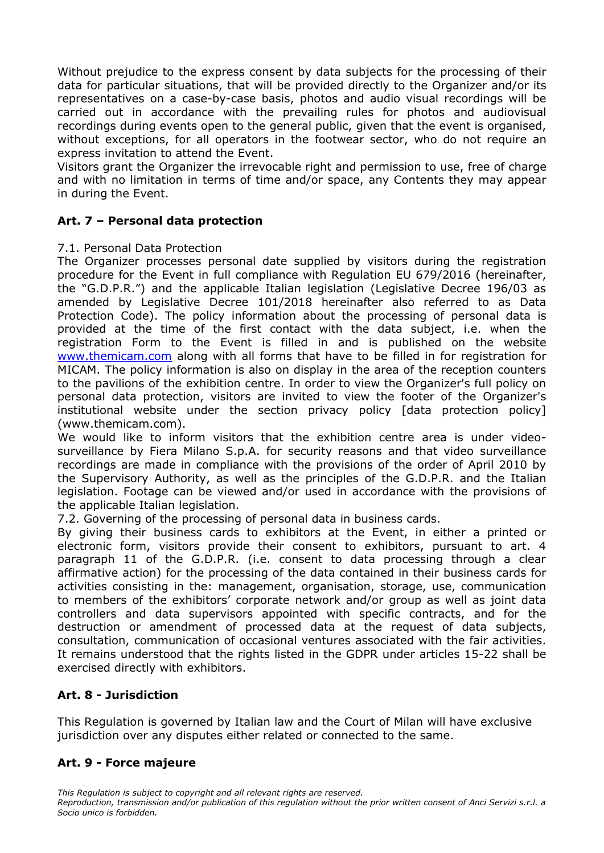Without prejudice to the express consent by data subjects for the processing of their data for particular situations, that will be provided directly to the Organizer and/or its representatives on a case-by-case basis, photos and audio visual recordings will be carried out in accordance with the prevailing rules for photos and audiovisual recordings during events open to the general public, given that the event is organised, without exceptions, for all operators in the footwear sector, who do not require an express invitation to attend the Event.

Visitors grant the Organizer the irrevocable right and permission to use, free of charge and with no limitation in terms of time and/or space, any Contents they may appear in during the Event.

## **Art. 7 – Personal data protection**

#### 7.1. Personal Data Protection

The Organizer processes personal date supplied by visitors during the registration procedure for the Event in full compliance with Regulation EU 679/2016 (hereinafter, the "G.D.P.R.") and the applicable Italian legislation (Legislative Decree 196/03 as amended by Legislative Decree 101/2018 hereinafter also referred to as Data Protection Code). The policy information about the processing of personal data is provided at the time of the first contact with the data subject, i.e. when the registration Form to the Event is filled in and is published on the website [www.themicam.com](http://www.themicam.com/) along with all forms that have to be filled in for registration for MICAM. The policy information is also on display in the area of the reception counters to the pavilions of the exhibition centre. In order to view the Organizer's full policy on personal data protection, visitors are invited to view the footer of the Organizer's institutional website under the section privacy policy [data protection policy] (www.themicam.com).

We would like to inform visitors that the exhibition centre area is under videosurveillance by Fiera Milano S.p.A. for security reasons and that video surveillance recordings are made in compliance with the provisions of the order of April 2010 by the Supervisory Authority, as well as the principles of the G.D.P.R. and the Italian legislation. Footage can be viewed and/or used in accordance with the provisions of the applicable Italian legislation.

7.2. Governing of the processing of personal data in business cards.

By giving their business cards to exhibitors at the Event, in either a printed or electronic form, visitors provide their consent to exhibitors, pursuant to art. 4 paragraph 11 of the G.D.P.R. (i.e. consent to data processing through a clear affirmative action) for the processing of the data contained in their business cards for activities consisting in the: management, organisation, storage, use, communication to members of the exhibitors' corporate network and/or group as well as joint data controllers and data supervisors appointed with specific contracts, and for the destruction or amendment of processed data at the request of data subjects, consultation, communication of occasional ventures associated with the fair activities. It remains understood that the rights listed in the GDPR under articles 15-22 shall be exercised directly with exhibitors.

# **Art. 8 - Jurisdiction**

This Regulation is governed by Italian law and the Court of Milan will have exclusive jurisdiction over any disputes either related or connected to the same.

# **Art. 9 - Force majeure**